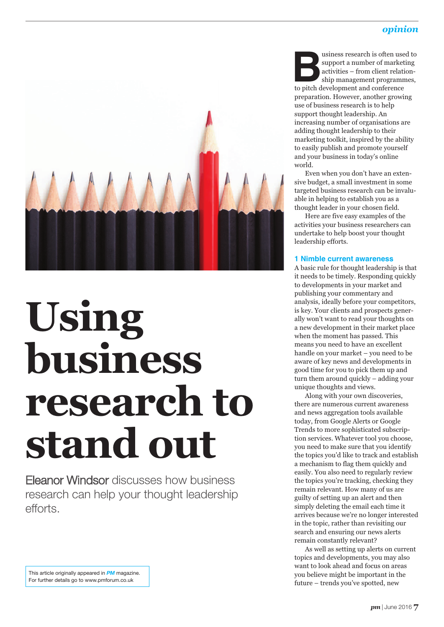# *opinion*



# **Using business research to stand out**

Eleanor Windsor discusses how business research can help your thought leadership efforts.

**Business research is often used to support a number of marketing activities – from client relationship management programmes, to pitch development and conference** support a number of marketing activities – from client relationship management programmes, preparation. However, another growing use of business research is to help support thought leadership. An increasing number of organisations are adding thought leadership to their marketing toolkit, inspired by the ability to easily publish and promote yourself and your business in today's online world.

Even when you don't have an extensive budget, a small investment in some targeted business research can be invaluable in helping to establish you as a thought leader in your chosen field.

Here are five easy examples of the activities your business researchers can undertake to help boost your thought leadership efforts.

#### **1 Nimble current awareness**

A basic rule for thought leadership is that it needs to be timely. Responding quickly to developments in your market and publishing your commentary and analysis, ideally before your competitors, is key. Your clients and prospects generally won't want to read your thoughts on a new development in their market place when the moment has passed. This means you need to have an excellent handle on your market – you need to be aware of key news and developments in good time for you to pick them up and turn them around quickly – adding your unique thoughts and views.

Along with your own discoveries, there are numerous current awareness and news aggregation tools available today, from Google Alerts or Google Trends to more sophisticated subscription services. Whatever tool you choose, you need to make sure that you identify the topics you'd like to track and establish a mechanism to flag them quickly and easily. You also need to regularly review the topics you're tracking, checking they remain relevant. How many of us are guilty of setting up an alert and then simply deleting the email each time it arrives because we're no longer interested in the topic, rather than revisiting our search and ensuring our news alerts remain constantly relevant?

As well as setting up alerts on current topics and developments, you may also want to look ahead and focus on areas you believe might be important in the future – trends you've spotted, new

This article originally appeared in *PM* magazine. For further details go to www.pmforum.co.uk